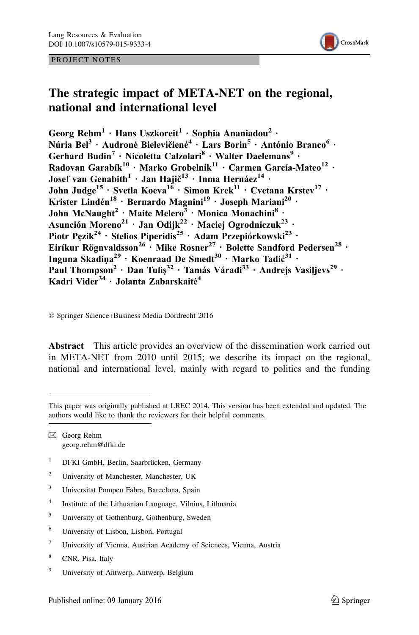#### PROJECT NOTES



# The strategic impact of META-NET on the regional, national and international level

Georg Rehm<sup>1</sup> · Hans Uszkoreit<sup>1</sup> · Sophia Ananiadou<sup>2</sup> · Núria Bel<sup>3</sup> · Audronė Bielevičienė<sup>4</sup> · Lars Borin<sup>5</sup> · António Branco<sup>6</sup> · Gerhard Budin<sup>7</sup> · Nicoletta Calzolari<sup>8</sup> · Walter Daelemans<sup>9</sup> · Radovan Garabík $^{10}$  · Marko Grobelnik $^{11}$  · Carmen García-Mateo $^{12}$  · Josef van Genabith $^1$  · Jan Hajič $^{13}$  · Inma Hernáe $\rm{z}^{14}$  · John Judge<sup>15</sup> · Svetla Koeva<sup>16</sup> · Simon Krek<sup>11</sup> · Cvetana Krstev<sup>17</sup> · Krister Lindén<sup>18</sup> · Bernardo Magnini<sup>19</sup> · Joseph Mariani<sup>20</sup> · John McNaught<sup>2</sup> · Maite Melero<sup>3</sup> · Monica Monachini<sup>8</sup> · Asunción Moreno<sup>21</sup> · Jan Odijk<sup>22</sup> · Maciej Ogrodniczuk<sup>23</sup> · Piotr Pęzik<sup>24</sup> · Stelios Piperidis<sup>25</sup> · Adam Przepiórkowski<sup>23</sup> · Eiríkur Rögnvaldsson<sup>26</sup> · Mike Rosner<sup>27</sup> · Bolette Sandford Pedersen<sup>28</sup> · Inguna Skadiņa<sup>29</sup> · Koenraad De Smedt<sup>30</sup> · Marko Tadić<sup>31</sup> · Paul Thompson<sup>2</sup> · Dan Tufiş<sup>32</sup> · Tamás Váradi<sup>33</sup> · Andrejs Vasiļjevs<sup>29</sup> · Kadri Vider<sup>34</sup> · Jolanta Zabarskaitė<sup>4</sup>

© Springer Science+Business Media Dordrecht 2016

Abstract This article provides an overview of the dissemination work carried out in META-NET from 2010 until 2015; we describe its impact on the regional, national and international level, mainly with regard to politics and the funding

 $\boxtimes$  Georg Rehm georg.rehm@dfki.de

- $1$  DFKI GmbH, Berlin, Saarbrücken, Germany
- <sup>2</sup> University of Manchester, Manchester, UK
- <sup>3</sup> Universitat Pompeu Fabra, Barcelona, Spain
- <sup>4</sup> Institute of the Lithuanian Language, Vilnius, Lithuania
- <sup>5</sup> University of Gothenburg, Gothenburg, Sweden
- <sup>6</sup> University of Lisbon, Lisbon, Portugal
- <sup>7</sup> University of Vienna, Austrian Academy of Sciences, Vienna, Austria
- <sup>8</sup> CNR, Pisa, Italy
- <sup>9</sup> University of Antwerp, Antwerp, Belgium

This paper was originally published at LREC 2014. This version has been extended and updated. The authors would like to thank the reviewers for their helpful comments.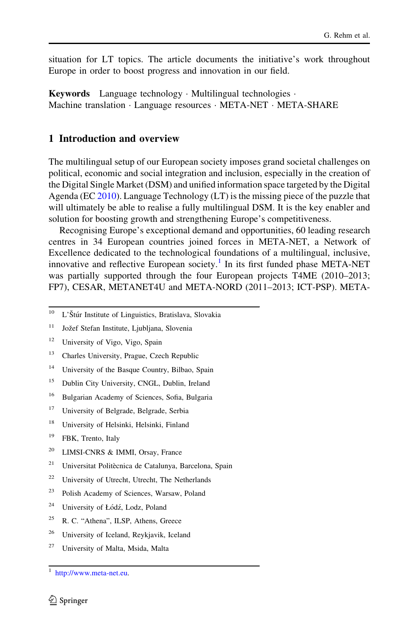situation for LT topics. The article documents the initiative's work throughout Europe in order to boost progress and innovation in our field.

Keywords Language technology · Multilingual technologies · Machine translation · Language resources · META-NET · META-SHARE

#### 1 Introduction and overview

The multilingual setup of our European society imposes grand societal challenges on political, economic and social integration and inclusion, especially in the creation of the Digital Single Market (DSM) and unified information space targeted by the Digital Agenda (EC [2010](#page-21-0)). Language Technology (LT) is the missing piece of the puzzle that will ultimately be able to realise a fully multilingual DSM. It is the key enabler and solution for boosting growth and strengthening Europe's competitiveness.

Recognising Europe's exceptional demand and opportunities, 60 leading research centres in 34 European countries joined forces in META-NET, a Network of Excellence dedicated to the technological foundations of a multilingual, inclusive, innovative and reflective European society.<sup>1</sup> In its first funded phase META-NET was partially supported through the four European projects T4ME (2010–2013; FP7), CESAR, METANET4U and META-NORD (2011–2013; ICT-PSP). META-

- <sup>14</sup> University of the Basque Country, Bilbao, Spain
- <sup>15</sup> Dublin City University, CNGL, Dublin, Ireland
- <sup>16</sup> Bulgarian Academy of Sciences, Sofia, Bulgaria
- <sup>17</sup> University of Belgrade, Belgrade, Serbia
- <sup>18</sup> University of Helsinki, Helsinki, Finland
- <sup>19</sup> FBK, Trento, Italy
- <sup>20</sup> LIMSI-CNRS & IMMI, Orsay, France
- <sup>21</sup> Universitat Politècnica de Catalunya, Barcelona, Spain
- <sup>22</sup> University of Utrecht, Utrecht, The Netherlands
- <sup>23</sup> Polish Academy of Sciences, Warsaw, Poland
- <sup>24</sup> University of Łódź, Lodz, Poland
- <sup>25</sup> R. C. "Athena", ILSP, Athens, Greece
- <sup>26</sup> University of Iceland, Reykjavik, Iceland
- <sup>27</sup> University of Malta, Msida, Malta

 $10$  L'Štúr Institute of Linguistics, Bratislava, Slovakia

<sup>&</sup>lt;sup>11</sup> Jožef Stefan Institute, Ljubljana, Slovenia

<sup>&</sup>lt;sup>12</sup> University of Vigo, Vigo, Spain

<sup>13</sup> Charles University, Prague, Czech Republic

<sup>1</sup> [http://www.meta-net.eu.](http://www.meta-net.eu)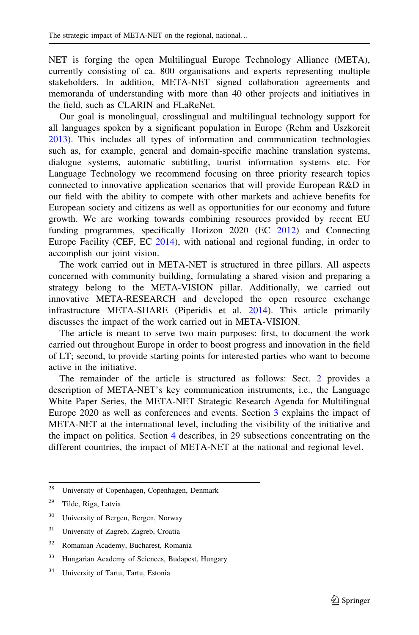NET is forging the open Multilingual Europe Technology Alliance (META), currently consisting of ca. 800 organisations and experts representing multiple stakeholders. In addition, META-NET signed collaboration agreements and memoranda of understanding with more than 40 other projects and initiatives in the field, such as CLARIN and FLaReNet.

Our goal is monolingual, crosslingual and multilingual technology support for all languages spoken by a significant population in Europe (Rehm and Uszkoreit [2013\)](#page-22-0). This includes all types of information and communication technologies such as, for example, general and domain-specific machine translation systems, dialogue systems, automatic subtitling, tourist information systems etc. For Language Technology we recommend focusing on three priority research topics connected to innovative application scenarios that will provide European R&D in our field with the ability to compete with other markets and achieve benefits for European society and citizens as well as opportunities for our economy and future growth. We are working towards combining resources provided by recent EU funding programmes, specifically Horizon 2020 (EC [2012\)](#page-21-0) and Connecting Europe Facility (CEF, EC [2014](#page-21-0)), with national and regional funding, in order to accomplish our joint vision.

The work carried out in META-NET is structured in three pillars. All aspects concerned with community building, formulating a shared vision and preparing a strategy belong to the META-VISION pillar. Additionally, we carried out innovative META-RESEARCH and developed the open resource exchange infrastructure META-SHARE (Piperidis et al. [2014\)](#page-22-0). This article primarily discusses the impact of the work carried out in META-VISION.

The article is meant to serve two main purposes: first, to document the work carried out throughout Europe in order to boost progress and innovation in the field of LT; second, to provide starting points for interested parties who want to become active in the initiative.

The remainder of the article is structured as follows: Sect. [2](#page-3-0) provides a description of META-NET's key communication instruments, i.e., the Language White Paper Series, the META-NET Strategic Research Agenda for Multilingual Europe 2020 as well as conferences and events. Section [3](#page-4-0) explains the impact of META-NET at the international level, including the visibility of the initiative and the impact on politics. Section [4](#page-7-0) describes, in 29 subsections concentrating on the different countries, the impact of META-NET at the national and regional level.

- <sup>30</sup> University of Bergen, Bergen, Norway
- <sup>31</sup> University of Zagreb, Zagreb, Croatia
- <sup>32</sup> Romanian Academy, Bucharest, Romania
- <sup>33</sup> Hungarian Academy of Sciences, Budapest, Hungary
- <sup>34</sup> University of Tartu, Tartu, Estonia

<sup>28</sup> University of Copenhagen, Copenhagen, Denmark

<sup>29</sup> Tilde, Riga, Latvia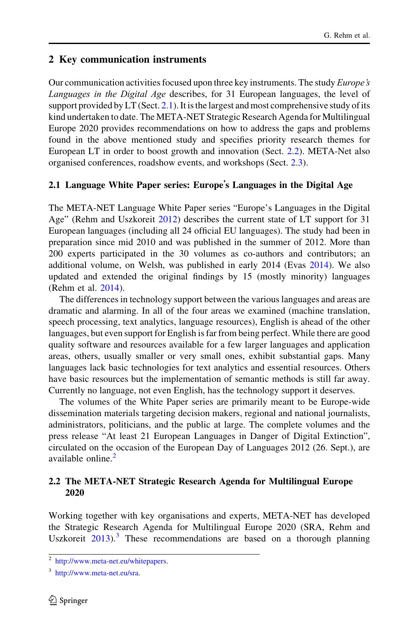#### <span id="page-3-0"></span>2 Key communication instruments

Our communication activities focused upon three key instruments. The study *Europe's* Languages in the Digital Age describes, for 31 European languages, the level of support provided by  $LT$  (Sect. 2.1). It is the largest and most comprehensive study of its kind undertaken to date. The META-NET Strategic Research Agenda for Multilingual Europe 2020 provides recommendations on how to address the gaps and problems found in the above mentioned study and specifies priority research themes for European LT in order to boost growth and innovation (Sect. 2.2). META-Net also organised conferences, roadshow events, and workshops (Sect. [2.3\)](#page-4-0).

#### 2.1 Language White Paper series: Europe's Languages in the Digital Age

The META-NET Language White Paper series "Europe's Languages in the Digital Age" (Rehm and Uszkoreit [2012](#page-22-0)) describes the current state of LT support for 31 European languages (including all 24 official EU languages). The study had been in preparation since mid 2010 and was published in the summer of 2012. More than 200 experts participated in the 30 volumes as co-authors and contributors; an additional volume, on Welsh, was published in early 2014 (Evas [2014\)](#page-21-0). We also updated and extended the original findings by 15 (mostly minority) languages (Rehm et al. [2014](#page-22-0)).

The differences in technology support between the various languages and areas are dramatic and alarming. In all of the four areas we examined (machine translation, speech processing, text analytics, language resources), English is ahead of the other languages, but even support for English is far from being perfect. While there are good quality software and resources available for a few larger languages and application areas, others, usually smaller or very small ones, exhibit substantial gaps. Many languages lack basic technologies for text analytics and essential resources. Others have basic resources but the implementation of semantic methods is still far away. Currently no language, not even English, has the technology support it deserves.

The volumes of the White Paper series are primarily meant to be Europe-wide dissemination materials targeting decision makers, regional and national journalists, administrators, politicians, and the public at large. The complete volumes and the press release "At least 21 European Languages in Danger of Digital Extinction", circulated on the occasion of the European Day of Languages 2012 (26. Sept.), are available online.<sup>2</sup>

#### 2.2 The META-NET Strategic Research Agenda for Multilingual Europe 2020

Working together with key organisations and experts, META-NET has developed the Strategic Research Agenda for Multilingual Europe 2020 (SRA, Rehm and Uszkoreit  $2013$ .<sup>3</sup> These recommendations are based on a thorough planning

<sup>2</sup> <http://www.meta-net.eu/whitepapers>.

<sup>3</sup> <http://www.meta-net.eu/sra>.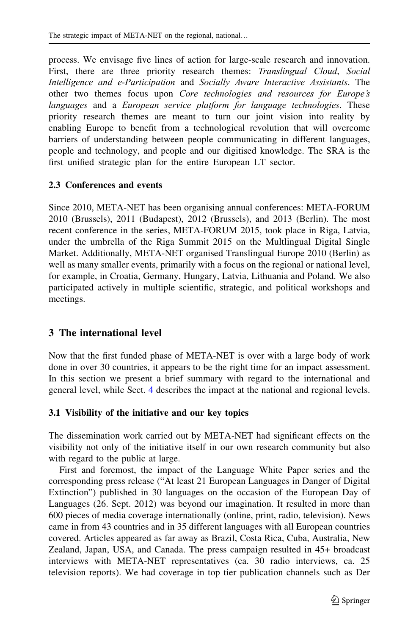<span id="page-4-0"></span>process. We envisage five lines of action for large-scale research and innovation. First, there are three priority research themes: Translingual Cloud, Social Intelligence and e-Participation and Socially Aware Interactive Assistants. The other two themes focus upon Core technologies and resources for Europe's languages and a European service platform for language technologies. These priority research themes are meant to turn our joint vision into reality by enabling Europe to benefit from a technological revolution that will overcome barriers of understanding between people communicating in different languages, people and technology, and people and our digitised knowledge. The SRA is the first unified strategic plan for the entire European LT sector.

#### 2.3 Conferences and events

Since 2010, META-NET has been organising annual conferences: META-FORUM 2010 (Brussels), 2011 (Budapest), 2012 (Brussels), and 2013 (Berlin). The most recent conference in the series, META-FORUM 2015, took place in Riga, Latvia, under the umbrella of the Riga Summit 2015 on the Multlingual Digital Single Market. Additionally, META-NET organised Translingual Europe 2010 (Berlin) as well as many smaller events, primarily with a focus on the regional or national level, for example, in Croatia, Germany, Hungary, Latvia, Lithuania and Poland. We also participated actively in multiple scientific, strategic, and political workshops and meetings.

# 3 The international level

Now that the first funded phase of META-NET is over with a large body of work done in over 30 countries, it appears to be the right time for an impact assessment. In this section we present a brief summary with regard to the international and general level, while Sect. [4](#page-7-0) describes the impact at the national and regional levels.

#### 3.1 Visibility of the initiative and our key topics

The dissemination work carried out by META-NET had significant effects on the visibility not only of the initiative itself in our own research community but also with regard to the public at large.

First and foremost, the impact of the Language White Paper series and the corresponding press release ("At least 21 European Languages in Danger of Digital Extinction") published in 30 languages on the occasion of the European Day of Languages (26. Sept. 2012) was beyond our imagination. It resulted in more than 600 pieces of media coverage internationally (online, print, radio, television). News came in from 43 countries and in 35 different languages with all European countries covered. Articles appeared as far away as Brazil, Costa Rica, Cuba, Australia, New Zealand, Japan, USA, and Canada. The press campaign resulted in 45+ broadcast interviews with META-NET representatives (ca. 30 radio interviews, ca. 25 television reports). We had coverage in top tier publication channels such as Der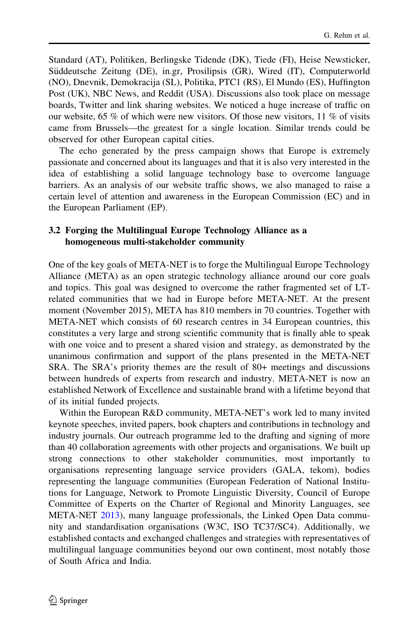Standard (AT), Politiken, Berlingske Tidende (DK), Tiede (FI), Heise Newsticker, Süddeutsche Zeitung (DE), in.gr, Prosilipsis (GR), Wired (IT), Computerworld (NO), Dnevnik, Demokracija (SL), Politika, PTC1 (RS), El Mundo (ES), Huffington Post (UK), NBC News, and Reddit (USA). Discussions also took place on message boards, Twitter and link sharing websites. We noticed a huge increase of traffic on our website, 65 % of which were new visitors. Of those new visitors,  $11\%$  of visits came from Brussels—the greatest for a single location. Similar trends could be observed for other European capital cities.

The echo generated by the press campaign shows that Europe is extremely passionate and concerned about its languages and that it is also very interested in the idea of establishing a solid language technology base to overcome language barriers. As an analysis of our website traffic shows, we also managed to raise a certain level of attention and awareness in the European Commission (EC) and in the European Parliament (EP).

#### 3.2 Forging the Multilingual Europe Technology Alliance as a homogeneous multi-stakeholder community

One of the key goals of META-NET is to forge the Multilingual Europe Technology Alliance (META) as an open strategic technology alliance around our core goals and topics. This goal was designed to overcome the rather fragmented set of LTrelated communities that we had in Europe before META-NET. At the present moment (November 2015), META has 810 members in 70 countries. Together with META-NET which consists of 60 research centres in 34 European countries, this constitutes a very large and strong scientific community that is finally able to speak with one voice and to present a shared vision and strategy, as demonstrated by the unanimous confirmation and support of the plans presented in the META-NET SRA. The SRA's priority themes are the result of 80+ meetings and discussions between hundreds of experts from research and industry. META-NET is now an established Network of Excellence and sustainable brand with a lifetime beyond that of its initial funded projects.

Within the European R&D community, META-NET's work led to many invited keynote speeches, invited papers, book chapters and contributions in technology and industry journals. Our outreach programme led to the drafting and signing of more than 40 collaboration agreements with other projects and organisations. We built up strong connections to other stakeholder communities, most importantly to organisations representing language service providers (GALA, tekom), bodies representing the language communities (European Federation of National Institutions for Language, Network to Promote Linguistic Diversity, Council of Europe Committee of Experts on the Charter of Regional and Minority Languages, see META-NET [2013\)](#page-22-0), many language professionals, the Linked Open Data community and standardisation organisations (W3C, ISO TC37/SC4). Additionally, we established contacts and exchanged challenges and strategies with representatives of multilingual language communities beyond our own continent, most notably those of South Africa and India.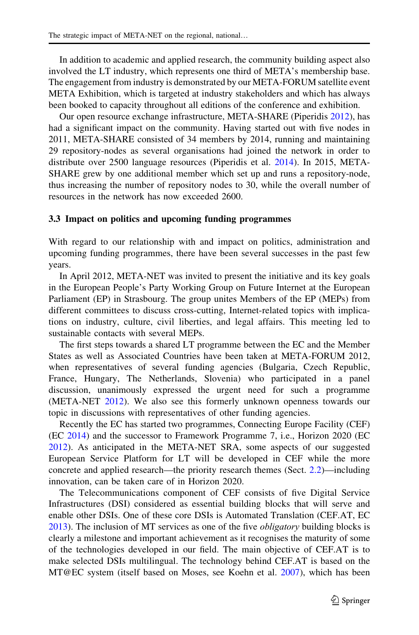In addition to academic and applied research, the community building aspect also involved the LT industry, which represents one third of META's membership base. The engagement from industry is demonstrated by our META-FORUM satellite event META Exhibition, which is targeted at industry stakeholders and which has always been booked to capacity throughout all editions of the conference and exhibition.

Our open resource exchange infrastructure, META-SHARE (Piperidis [2012\)](#page-22-0), has had a significant impact on the community. Having started out with five nodes in 2011, META-SHARE consisted of 34 members by 2014, running and maintaining 29 repository-nodes as several organisations had joined the network in order to distribute over 2500 language resources (Piperidis et al. [2014](#page-22-0)). In 2015, META-SHARE grew by one additional member which set up and runs a repository-node, thus increasing the number of repository nodes to 30, while the overall number of resources in the network has now exceeded 2600.

#### 3.3 Impact on politics and upcoming funding programmes

With regard to our relationship with and impact on politics, administration and upcoming funding programmes, there have been several successes in the past few years.

In April 2012, META-NET was invited to present the initiative and its key goals in the European People's Party Working Group on Future Internet at the European Parliament (EP) in Strasbourg. The group unites Members of the EP (MEPs) from different committees to discuss cross-cutting, Internet-related topics with implications on industry, culture, civil liberties, and legal affairs. This meeting led to sustainable contacts with several MEPs.

The first steps towards a shared LT programme between the EC and the Member States as well as Associated Countries have been taken at META-FORUM 2012, when representatives of several funding agencies (Bulgaria, Czech Republic, France, Hungary, The Netherlands, Slovenia) who participated in a panel discussion, unanimously expressed the urgent need for such a programme (META-NET [2012\)](#page-22-0). We also see this formerly unknown openness towards our topic in discussions with representatives of other funding agencies.

Recently the EC has started two programmes, Connecting Europe Facility (CEF) (EC [2014\)](#page-21-0) and the successor to Framework Programme 7, i.e., Horizon 2020 (EC [2012\)](#page-21-0). As anticipated in the META-NET SRA, some aspects of our suggested European Service Platform for LT will be developed in CEF while the more concrete and applied research—the priority research themes (Sect. [2.2](#page-3-0))—including innovation, can be taken care of in Horizon 2020.

The Telecommunications component of CEF consists of five Digital Service Infrastructures (DSI) considered as essential building blocks that will serve and enable other DSIs. One of these core DSIs is Automated Translation (CEF.AT, EC [2013\)](#page-21-0). The inclusion of MT services as one of the five obligatory building blocks is clearly a milestone and important achievement as it recognises the maturity of some of the technologies developed in our field. The main objective of CEF.AT is to make selected DSIs multilingual. The technology behind CEF.AT is based on the MT@EC system (itself based on Moses, see Koehn et al. [2007\)](#page-21-0), which has been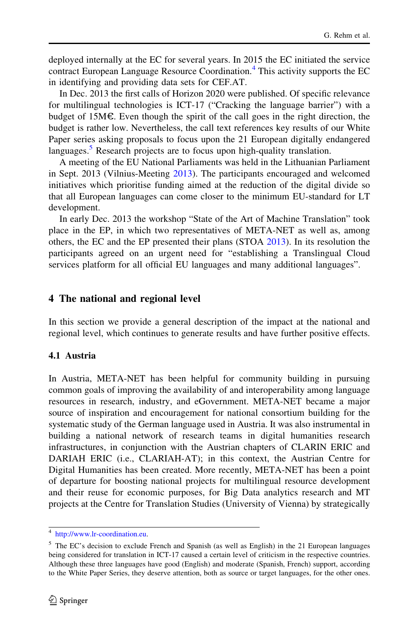<span id="page-7-0"></span>deployed internally at the EC for several years. In 2015 the EC initiated the service contract European Language Resource Coordination.<sup>4</sup> This activity supports the EC in identifying and providing data sets for CEF.AT.

In Dec. 2013 the first calls of Horizon 2020 were published. Of specific relevance for multilingual technologies is ICT-17 ("Cracking the language barrier") with a budget of 15M $\epsilon$ . Even though the spirit of the call goes in the right direction, the budget is rather low. Nevertheless, the call text references key results of our White Paper series asking proposals to focus upon the 21 European digitally endangered languages.<sup>5</sup> Research projects are to focus upon high-quality translation.

A meeting of the EU National Parliaments was held in the Lithuanian Parliament in Sept. 2013 (Vilnius-Meeting [2013\)](#page-23-0). The participants encouraged and welcomed initiatives which prioritise funding aimed at the reduction of the digital divide so that all European languages can come closer to the minimum EU-standard for LT development.

In early Dec. 2013 the workshop "State of the Art of Machine Translation" took place in the EP, in which two representatives of META-NET as well as, among others, the EC and the EP presented their plans (STOA [2013\)](#page-23-0). In its resolution the participants agreed on an urgent need for "establishing a Translingual Cloud services platform for all official EU languages and many additional languages".

# 4 The national and regional level

In this section we provide a general description of the impact at the national and regional level, which continues to generate results and have further positive effects.

# 4.1 Austria

In Austria, META-NET has been helpful for community building in pursuing common goals of improving the availability of and interoperability among language resources in research, industry, and eGovernment. META-NET became a major source of inspiration and encouragement for national consortium building for the systematic study of the German language used in Austria. It was also instrumental in building a national network of research teams in digital humanities research infrastructures, in conjunction with the Austrian chapters of CLARIN ERIC and DARIAH ERIC (i.e., CLARIAH-AT); in this context, the Austrian Centre for Digital Humanities has been created. More recently, META-NET has been a point of departure for boosting national projects for multilingual resource development and their reuse for economic purposes, for Big Data analytics research and MT projects at the Centre for Translation Studies (University of Vienna) by strategically

<sup>4</sup> [http://www.lr-coordination.eu.](http://www.lr-coordination.eu)

<sup>5</sup> The EC's decision to exclude French and Spanish (as well as English) in the 21 European languages being considered for translation in ICT-17 caused a certain level of criticism in the respective countries. Although these three languages have good (English) and moderate (Spanish, French) support, according to the White Paper Series, they deserve attention, both as source or target languages, for the other ones.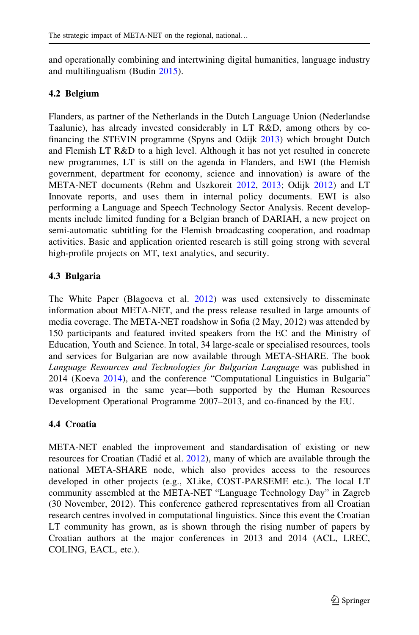and operationally combining and intertwining digital humanities, language industry and multilingualism (Budin [2015\)](#page-20-0).

#### 4.2 Belgium

Flanders, as partner of the Netherlands in the Dutch Language Union (Nederlandse Taalunie), has already invested considerably in LT R&D, among others by cofinancing the STEVIN programme (Spyns and Odijk [2013\)](#page-23-0) which brought Dutch and Flemish LT R&D to a high level. Although it has not yet resulted in concrete new programmes, LT is still on the agenda in Flanders, and EWI (the Flemish government, department for economy, science and innovation) is aware of the META-NET documents (Rehm and Uszkoreit [2012](#page-22-0), [2013](#page-22-0); Odijk [2012](#page-22-0)) and LT Innovate reports, and uses them in internal policy documents. EWI is also performing a Language and Speech Technology Sector Analysis. Recent developments include limited funding for a Belgian branch of DARIAH, a new project on semi-automatic subtitling for the Flemish broadcasting cooperation, and roadmap activities. Basic and application oriented research is still going strong with several high-profile projects on MT, text analytics, and security.

### 4.3 Bulgaria

The White Paper (Blagoeva et al. [2012\)](#page-20-0) was used extensively to disseminate information about META-NET, and the press release resulted in large amounts of media coverage. The META-NET roadshow in Sofia (2 May, 2012) was attended by 150 participants and featured invited speakers from the EC and the Ministry of Education, Youth and Science. In total, 34 large-scale or specialised resources, tools and services for Bulgarian are now available through META-SHARE. The book Language Resources and Technologies for Bulgarian Language was published in 2014 (Koeva [2014](#page-21-0)), and the conference "Computational Linguistics in Bulgaria" was organised in the same year—both supported by the Human Resources Development Operational Programme 2007–2013, and co-financed by the EU.

# 4.4 Croatia

META-NET enabled the improvement and standardisation of existing or new resources for Croatian (Tadić et al. [2012](#page-23-0)), many of which are available through the national META-SHARE node, which also provides access to the resources developed in other projects (e.g., XLike, COST-PARSEME etc.). The local LT community assembled at the META-NET "Language Technology Day" in Zagreb (30 November, 2012). This conference gathered representatives from all Croatian research centres involved in computational linguistics. Since this event the Croatian LT community has grown, as is shown through the rising number of papers by Croatian authors at the major conferences in 2013 and 2014 (ACL, LREC, COLING, EACL, etc.).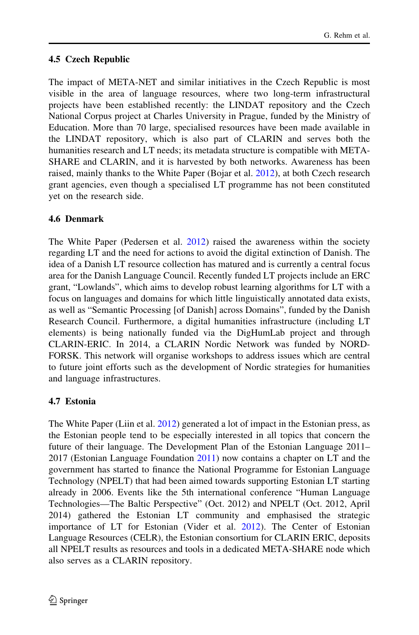# 4.5 Czech Republic

The impact of META-NET and similar initiatives in the Czech Republic is most visible in the area of language resources, where two long-term infrastructural projects have been established recently: the LINDAT repository and the Czech National Corpus project at Charles University in Prague, funded by the Ministry of Education. More than 70 large, specialised resources have been made available in the LINDAT repository, which is also part of CLARIN and serves both the humanities research and LT needs; its metadata structure is compatible with META-SHARE and CLARIN, and it is harvested by both networks. Awareness has been raised, mainly thanks to the White Paper (Bojar et al. [2012](#page-20-0)), at both Czech research grant agencies, even though a specialised LT programme has not been constituted yet on the research side.

# 4.6 Denmark

The White Paper (Pedersen et al. [2012\)](#page-22-0) raised the awareness within the society regarding LT and the need for actions to avoid the digital extinction of Danish. The idea of a Danish LT resource collection has matured and is currently a central focus area for the Danish Language Council. Recently funded LT projects include an ERC grant, "Lowlands", which aims to develop robust learning algorithms for LT with a focus on languages and domains for which little linguistically annotated data exists, as well as "Semantic Processing [of Danish] across Domains", funded by the Danish Research Council. Furthermore, a digital humanities infrastructure (including LT elements) is being nationally funded via the DigHumLab project and through CLARIN-ERIC. In 2014, a CLARIN Nordic Network was funded by NORD-FORSK. This network will organise workshops to address issues which are central to future joint efforts such as the development of Nordic strategies for humanities and language infrastructures.

# 4.7 Estonia

The White Paper (Liin et al. [2012](#page-21-0)) generated a lot of impact in the Estonian press, as the Estonian people tend to be especially interested in all topics that concern the future of their language. The Development Plan of the Estonian Language 2011– 2017 (Estonian Language Foundation [2011\)](#page-21-0) now contains a chapter on LT and the government has started to finance the National Programme for Estonian Language Technology (NPELT) that had been aimed towards supporting Estonian LT starting already in 2006. Events like the 5th international conference "Human Language Technologies—The Baltic Perspective" (Oct. 2012) and NPELT (Oct. 2012, April 2014) gathered the Estonian LT community and emphasised the strategic importance of LT for Estonian (Vider et al. [2012](#page-23-0)). The Center of Estonian Language Resources (CELR), the Estonian consortium for CLARIN ERIC, deposits all NPELT results as resources and tools in a dedicated META-SHARE node which also serves as a CLARIN repository.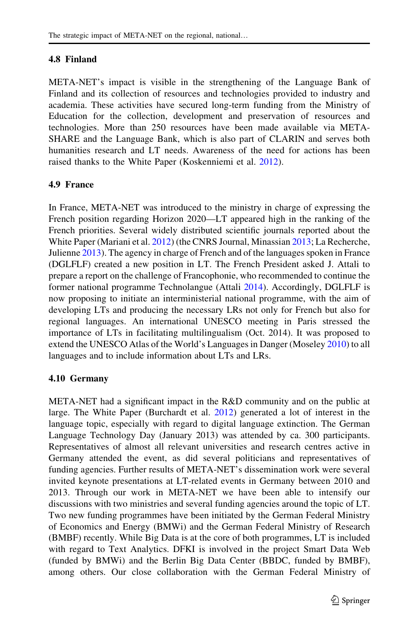#### 4.8 Finland

META-NET's impact is visible in the strengthening of the Language Bank of Finland and its collection of resources and technologies provided to industry and academia. These activities have secured long-term funding from the Ministry of Education for the collection, development and preservation of resources and technologies. More than 250 resources have been made available via META-SHARE and the Language Bank, which is also part of CLARIN and serves both humanities research and LT needs. Awareness of the need for actions has been raised thanks to the White Paper (Koskenniemi et al. [2012\)](#page-21-0).

### 4.9 France

In France, META-NET was introduced to the ministry in charge of expressing the French position regarding Horizon 2020—LT appeared high in the ranking of the French priorities. Several widely distributed scientific journals reported about the White Paper (Mariani et al. [2012](#page-22-0)) (the CNRS Journal, Minassian [2013](#page-23-0); La Recherche, Julienne [2013](#page-21-0)). The agency in charge of French and of the languages spoken in France (DGLFLF) created a new position in LT. The French President asked J. Attali to prepare a report on the challenge of Francophonie, who recommended to continue the former national programme Technolangue (Attali [2014\)](#page-20-0). Accordingly, DGLFLF is now proposing to initiate an interministerial national programme, with the aim of developing LTs and producing the necessary LRs not only for French but also for regional languages. An international UNESCO meeting in Paris stressed the importance of LTs in facilitating multilingualism (Oct. 2014). It was proposed to extend the UNESCO Atlas of the World's Languages in Danger (Moseley [2010](#page-22-0)) to all languages and to include information about LTs and LRs.

#### 4.10 Germany

META-NET had a significant impact in the R&D community and on the public at large. The White Paper (Burchardt et al. [2012\)](#page-20-0) generated a lot of interest in the language topic, especially with regard to digital language extinction. The German Language Technology Day (January 2013) was attended by ca. 300 participants. Representatives of almost all relevant universities and research centres active in Germany attended the event, as did several politicians and representatives of funding agencies. Further results of META-NET's dissemination work were several invited keynote presentations at LT-related events in Germany between 2010 and 2013. Through our work in META-NET we have been able to intensify our discussions with two ministries and several funding agencies around the topic of LT. Two new funding programmes have been initiated by the German Federal Ministry of Economics and Energy (BMWi) and the German Federal Ministry of Research (BMBF) recently. While Big Data is at the core of both programmes, LT is included with regard to Text Analytics. DFKI is involved in the project Smart Data Web (funded by BMWi) and the Berlin Big Data Center (BBDC, funded by BMBF), among others. Our close collaboration with the German Federal Ministry of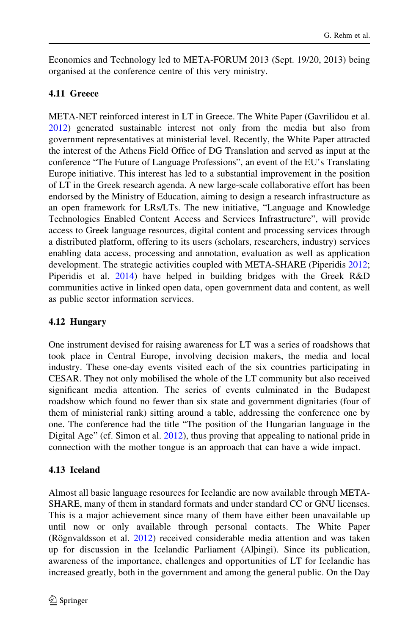Economics and Technology led to META-FORUM 2013 (Sept. 19/20, 2013) being organised at the conference centre of this very ministry.

### 4.11 Greece

META-NET reinforced interest in LT in Greece. The White Paper (Gavrilidou et al. [2012\)](#page-21-0) generated sustainable interest not only from the media but also from government representatives at ministerial level. Recently, the White Paper attracted the interest of the Athens Field Office of DG Translation and served as input at the conference "The Future of Language Professions", an event of the EU's Translating Europe initiative. This interest has led to a substantial improvement in the position of LT in the Greek research agenda. A new large-scale collaborative effort has been endorsed by the Ministry of Education, aiming to design a research infrastructure as an open framework for LRs/LTs. The new initiative, "Language and Knowledge Technologies Enabled Content Access and Services Infrastructure", will provide access to Greek language resources, digital content and processing services through a distributed platform, offering to its users (scholars, researchers, industry) services enabling data access, processing and annotation, evaluation as well as application development. The strategic activities coupled with META-SHARE (Piperidis [2012;](#page-22-0) Piperidis et al. [2014\)](#page-22-0) have helped in building bridges with the Greek R&D communities active in linked open data, open government data and content, as well as public sector information services.

### 4.12 Hungary

One instrument devised for raising awareness for LT was a series of roadshows that took place in Central Europe, involving decision makers, the media and local industry. These one-day events visited each of the six countries participating in CESAR. They not only mobilised the whole of the LT community but also received significant media attention. The series of events culminated in the Budapest roadshow which found no fewer than six state and government dignitaries (four of them of ministerial rank) sitting around a table, addressing the conference one by one. The conference had the title "The position of the Hungarian language in the Digital Age" (cf. Simon et al. [2012\)](#page-22-0), thus proving that appealing to national pride in connection with the mother tongue is an approach that can have a wide impact.

### 4.13 Iceland

Almost all basic language resources for Icelandic are now available through META-SHARE, many of them in standard formats and under standard CC or GNU licenses. This is a major achievement since many of them have either been unavailable up until now or only available through personal contacts. The White Paper (Rögnvaldsson et al.  $2012$ ) received considerable media attention and was taken up for discussion in the Icelandic Parliament (Alþingi). Since its publication, awareness of the importance, challenges and opportunities of LT for Icelandic has increased greatly, both in the government and among the general public. On the Day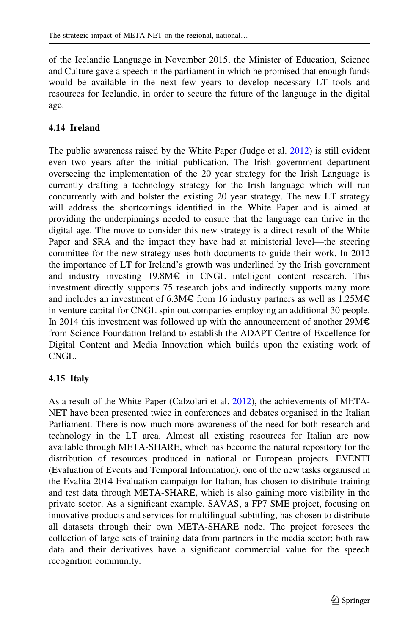of the Icelandic Language in November 2015, the Minister of Education, Science and Culture gave a speech in the parliament in which he promised that enough funds would be available in the next few years to develop necessary LT tools and resources for Icelandic, in order to secure the future of the language in the digital age.

# 4.14 Ireland

The public awareness raised by the White Paper (Judge et al. [2012](#page-21-0)) is still evident even two years after the initial publication. The Irish government department overseeing the implementation of the 20 year strategy for the Irish Language is currently drafting a technology strategy for the Irish language which will run concurrently with and bolster the existing 20 year strategy. The new LT strategy will address the shortcomings identified in the White Paper and is aimed at providing the underpinnings needed to ensure that the language can thrive in the digital age. The move to consider this new strategy is a direct result of the White Paper and SRA and the impact they have had at ministerial level—the steering committee for the new strategy uses both documents to guide their work. In 2012 the importance of LT for Ireland's growth was underlined by the Irish government and industry investing 19.8M€ in CNGL intelligent content research. This investment directly supports 75 research jobs and indirectly supports many more and includes an investment of 6.3M€ from 16 industry partners as well as  $1.25M \epsilon$ in venture capital for CNGL spin out companies employing an additional 30 people. In 2014 this investment was followed up with the announcement of another 29M€ from Science Foundation Ireland to establish the ADAPT Centre of Excellence for Digital Content and Media Innovation which builds upon the existing work of CNGL.

### 4.15 Italy

As a result of the White Paper (Calzolari et al. [2012\)](#page-20-0), the achievements of META-NET have been presented twice in conferences and debates organised in the Italian Parliament. There is now much more awareness of the need for both research and technology in the LT area. Almost all existing resources for Italian are now available through META-SHARE, which has become the natural repository for the distribution of resources produced in national or European projects. EVENTI (Evaluation of Events and Temporal Information), one of the new tasks organised in the Evalita 2014 Evaluation campaign for Italian, has chosen to distribute training and test data through META-SHARE, which is also gaining more visibility in the private sector. As a significant example, SAVAS, a FP7 SME project, focusing on innovative products and services for multilingual subtitling, has chosen to distribute all datasets through their own META-SHARE node. The project foresees the collection of large sets of training data from partners in the media sector; both raw data and their derivatives have a significant commercial value for the speech recognition community.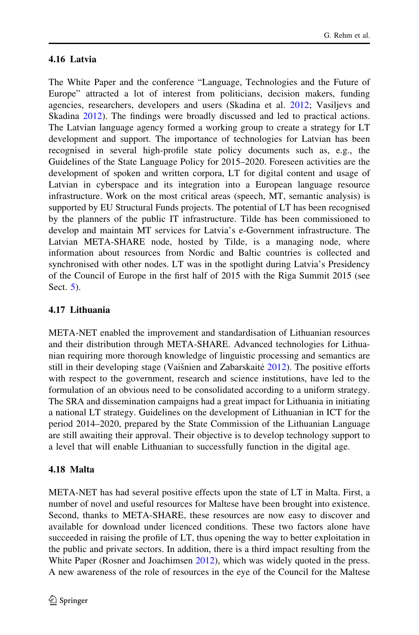#### 4.16 Latvia

The White Paper and the conference "Language, Technologies and the Future of Europe" attracted a lot of interest from politicians, decision makers, funding agencies, researchers, developers and users (Skadina et al. [2012](#page-23-0); Vasiljevs and Skadina [2012](#page-23-0)). The findings were broadly discussed and led to practical actions. The Latvian language agency formed a working group to create a strategy for LT development and support. The importance of technologies for Latvian has been recognised in several high-profile state policy documents such as, e.g., the Guidelines of the State Language Policy for 2015–2020. Foreseen activities are the development of spoken and written corpora, LT for digital content and usage of Latvian in cyberspace and its integration into a European language resource infrastructure. Work on the most critical areas (speech, MT, semantic analysis) is supported by EU Structural Funds projects. The potential of LT has been recognised by the planners of the public IT infrastructure. Tilde has been commissioned to develop and maintain MT services for Latvia's e-Government infrastructure. The Latvian META-SHARE node, hosted by Tilde, is a managing node, where information about resources from Nordic and Baltic countries is collected and synchronised with other nodes. LT was in the spotlight during Latvia's Presidency of the Council of Europe in the first half of 2015 with the Riga Summit 2015 (see Sect. [5](#page-18-0)).

#### 4.17 Lithuania

META-NET enabled the improvement and standardisation of Lithuanian resources and their distribution through META-SHARE. Advanced technologies for Lithuanian requiring more thorough knowledge of linguistic processing and semantics are still in their developing stage (Vaišnien and Zabarskaite [2012](#page-23-0)). The positive efforts with respect to the government, research and science institutions, have led to the formulation of an obvious need to be consolidated according to a uniform strategy. The SRA and dissemination campaigns had a great impact for Lithuania in initiating a national LT strategy. Guidelines on the development of Lithuanian in ICT for the period 2014–2020, prepared by the State Commission of the Lithuanian Language are still awaiting their approval. Their objective is to develop technology support to a level that will enable Lithuanian to successfully function in the digital age.

#### 4.18 Malta

META-NET has had several positive effects upon the state of LT in Malta. First, a number of novel and useful resources for Maltese have been brought into existence. Second, thanks to META-SHARE, these resources are now easy to discover and available for download under licenced conditions. These two factors alone have succeeded in raising the profile of LT, thus opening the way to better exploitation in the public and private sectors. In addition, there is a third impact resulting from the White Paper (Rosner and Joachimsen [2012](#page-22-0)), which was widely quoted in the press. A new awareness of the role of resources in the eye of the Council for the Maltese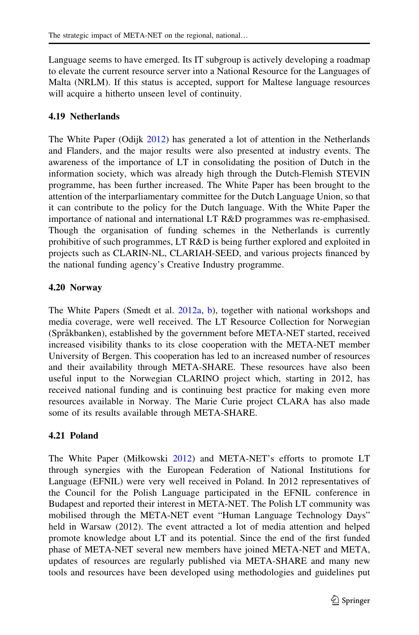Language seems to have emerged. Its IT subgroup is actively developing a roadmap to elevate the current resource server into a National Resource for the Languages of Malta (NRLM). If this status is accepted, support for Maltese language resources will acquire a hitherto unseen level of continuity.

#### 4.19 Netherlands

The White Paper (Odijk [2012](#page-22-0)) has generated a lot of attention in the Netherlands and Flanders, and the major results were also presented at industry events. The awareness of the importance of LT in consolidating the position of Dutch in the information society, which was already high through the Dutch-Flemish STEVIN programme, has been further increased. The White Paper has been brought to the attention of the interparliamentary committee for the Dutch Language Union, so that it can contribute to the policy for the Dutch language. With the White Paper the importance of national and international LT R&D programmes was re-emphasised. Though the organisation of funding schemes in the Netherlands is currently prohibitive of such programmes, LT R&D is being further explored and exploited in projects such as CLARIN-NL, CLARIAH-SEED, and various projects financed by the national funding agency's Creative Industry programme.

#### 4.20 Norway

The White Papers (Smedt et al. [2012a](#page-20-0), [b\)](#page-21-0), together with national workshops and media coverage, were well received. The LT Resource Collection for Norwegian (Språkbanken), established by the government before META-NET started, received increased visibility thanks to its close cooperation with the META-NET member University of Bergen. This cooperation has led to an increased number of resources and their availability through META-SHARE. These resources have also been useful input to the Norwegian CLARINO project which, starting in 2012, has received national funding and is continuing best practice for making even more resources available in Norway. The Marie Curie project CLARA has also made some of its results available through META-SHARE.

### 4.21 Poland

The White Paper (Miłkowski [2012](#page-22-0)) and META-NET's efforts to promote LT through synergies with the European Federation of National Institutions for Language (EFNIL) were very well received in Poland. In 2012 representatives of the Council for the Polish Language participated in the EFNIL conference in Budapest and reported their interest in META-NET. The Polish LT community was mobilised through the META-NET event "Human Language Technology Days" held in Warsaw (2012). The event attracted a lot of media attention and helped promote knowledge about LT and its potential. Since the end of the first funded phase of META-NET several new members have joined META-NET and META, updates of resources are regularly published via META-SHARE and many new tools and resources have been developed using methodologies and guidelines put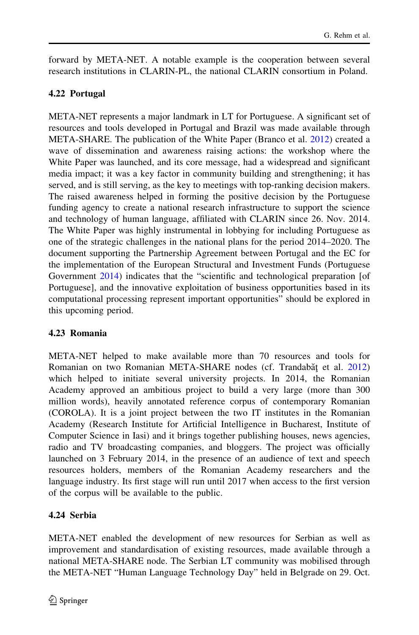forward by META-NET. A notable example is the cooperation between several research institutions in CLARIN-PL, the national CLARIN consortium in Poland.

# 4.22 Portugal

META-NET represents a major landmark in LT for Portuguese. A significant set of resources and tools developed in Portugal and Brazil was made available through META-SHARE. The publication of the White Paper (Branco et al. [2012\)](#page-20-0) created a wave of dissemination and awareness raising actions: the workshop where the White Paper was launched, and its core message, had a widespread and significant media impact; it was a key factor in community building and strengthening; it has served, and is still serving, as the key to meetings with top-ranking decision makers. The raised awareness helped in forming the positive decision by the Portuguese funding agency to create a national research infrastructure to support the science and technology of human language, affiliated with CLARIN since 26. Nov. 2014. The White Paper was highly instrumental in lobbying for including Portuguese as one of the strategic challenges in the national plans for the period 2014–2020. The document supporting the Partnership Agreement between Portugal and the EC for the implementation of the European Structural and Investment Funds (Portuguese Government [2014\)](#page-22-0) indicates that the "scientific and technological preparation [of Portuguese], and the innovative exploitation of business opportunities based in its computational processing represent important opportunities" should be explored in this upcoming period.

### 4.23 Romania

META-NET helped to make available more than 70 resources and tools for Romanian on two Romanian META-SHARE nodes (cf. Trandabăț et al. [2012](#page-23-0)) which helped to initiate several university projects. In 2014, the Romanian Academy approved an ambitious project to build a very large (more than 300 million words), heavily annotated reference corpus of contemporary Romanian (COROLA). It is a joint project between the two IT institutes in the Romanian Academy (Research Institute for Artificial Intelligence in Bucharest, Institute of Computer Science in Iasi) and it brings together publishing houses, news agencies, radio and TV broadcasting companies, and bloggers. The project was officially launched on 3 February 2014, in the presence of an audience of text and speech resources holders, members of the Romanian Academy researchers and the language industry. Its first stage will run until 2017 when access to the first version of the corpus will be available to the public.

# 4.24 Serbia

META-NET enabled the development of new resources for Serbian as well as improvement and standardisation of existing resources, made available through a national META-SHARE node. The Serbian LT community was mobilised through the META-NET "Human Language Technology Day" held in Belgrade on 29. Oct.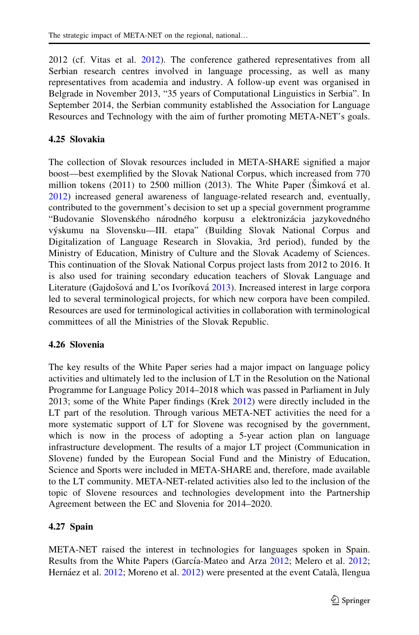2012 (cf. Vitas et al. [2012](#page-23-0)). The conference gathered representatives from all Serbian research centres involved in language processing, as well as many representatives from academia and industry. A follow-up event was organised in Belgrade in November 2013, "35 years of Computational Linguistics in Serbia". In September 2014, the Serbian community established the Association for Language Resources and Technology with the aim of further promoting META-NET's goals.

#### 4.25 Slovakia

The collection of Slovak resources included in META-SHARE signified a major boost—best exemplified by the Slovak National Corpus, which increased from 770 million tokens  $(2011)$  to  $2500$  million  $(2013)$ . The White Paper  $(\text{Simková et al.})$ [2012\)](#page-23-0) increased general awareness of language-related research and, eventually, contributed to the government's decision to set up a special government programme "Budovanie Slovenského národného korpusu a elektronizácia jazykovedného vy´skumu na Slovensku—III. etapa" (Building Slovak National Corpus and Digitalization of Language Research in Slovakia, 3rd period), funded by the Ministry of Education, Ministry of Culture and the Slovak Academy of Sciences. This continuation of the Slovak National Corpus project lasts from 2012 to 2016. It is also used for training secondary education teachers of Slovak Language and Literature (Gajdošová and L'os Ivoríková [2013](#page-21-0)). Increased interest in large corpora led to several terminological projects, for which new corpora have been compiled. Resources are used for terminological activities in collaboration with terminological committees of all the Ministries of the Slovak Republic.

### 4.26 Slovenia

The key results of the White Paper series had a major impact on language policy activities and ultimately led to the inclusion of LT in the Resolution on the National Programme for Language Policy 2014–2018 which was passed in Parliament in July 2013; some of the White Paper findings (Krek [2012](#page-21-0)) were directly included in the LT part of the resolution. Through various META-NET activities the need for a more systematic support of LT for Slovene was recognised by the government, which is now in the process of adopting a 5-year action plan on language infrastructure development. The results of a major LT project (Communication in Slovene) funded by the European Social Fund and the Ministry of Education, Science and Sports were included in META-SHARE and, therefore, made available to the LT community. META-NET-related activities also led to the inclusion of the topic of Slovene resources and technologies development into the Partnership Agreement between the EC and Slovenia for 2014–2020.

### 4.27 Spain

META-NET raised the interest in technologies for languages spoken in Spain. Results from the White Papers (García-Mateo and Arza [2012](#page-21-0); Melero et al. [2012;](#page-22-0) Hernáez et al. [2012;](#page-21-0) Moreno et al. [2012\)](#page-22-0) were presented at the event Català, llengua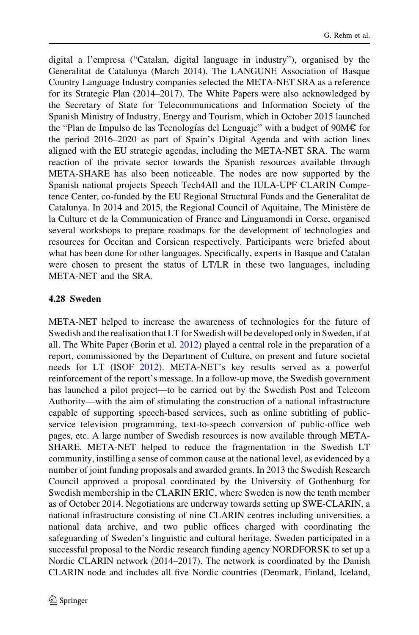digital a l'empresa ("Catalan, digital language in industry"), organised by the Generalitat de Catalunya (March 2014). The LANGUNE Association of Basque Country Language Industry companies selected the META-NET SRA as a reference for its Strategic Plan (2014–2017). The White Papers were also acknowledged by the Secretary of State for Telecommunications and Information Society of the Spanish Ministry of Industry, Energy and Tourism, which in October 2015 launched the "Plan de Impulso de las Tecnologías del Lenguaje" with a budget of  $90M\epsilon$  for the period 2016–2020 as part of Spain's Digital Agenda and with action lines aligned with the EU strategic agendas, including the META-NET SRA. The warm reaction of the private sector towards the Spanish resources available through META-SHARE has also been noticeable. The nodes are now supported by the Spanish national projects Speech Tech4All and the IULA-UPF CLARIN Competence Center, co-funded by the EU Regional Structural Funds and the Generalitat de Catalunya. In 2014 and 2015, the Regional Council of Aquitaine, The Ministère de la Culture et de la Communication of France and Linguamondi in Corse, organised several workshops to prepare roadmaps for the development of technologies and resources for Occitan and Corsican respectively. Participants were briefed about what has been done for other languages. Specifically, experts in Basque and Catalan were chosen to present the status of LT/LR in these two languages, including META-NET and the SRA.

#### 4.28 Sweden

META-NET helped to increase the awareness of technologies for the future of Swedish and the realisation that LT for Swedish will be developed only in Sweden, if at all. The White Paper (Borin et al. [2012](#page-20-0)) played a central role in the preparation of a report, commissioned by the Department of Culture, on present and future societal needs for LT (ISOF [2012\)](#page-21-0). META-NET's key results served as a powerful reinforcement of the report's message. In a follow-up move, the Swedish government has launched a pilot project—to be carried out by the Swedish Post and Telecom Authority—with the aim of stimulating the construction of a national infrastructure capable of supporting speech-based services, such as online subtitling of publicservice television programming, text-to-speech conversion of public-office web pages, etc. A large number of Swedish resources is now available through META-SHARE. META-NET helped to reduce the fragmentation in the Swedish LT community, instilling a sense of common cause at the national level, as evidenced by a number of joint funding proposals and awarded grants. In 2013 the Swedish Research Council approved a proposal coordinated by the University of Gothenburg for Swedish membership in the CLARIN ERIC, where Sweden is now the tenth member as of October 2014. Negotiations are underway towards setting up SWE-CLARIN, a national infrastructure consisting of nine CLARIN centres including universities, a national data archive, and two public offices charged with coordinating the safeguarding of Sweden's linguistic and cultural heritage. Sweden participated in a successful proposal to the Nordic research funding agency NORDFORSK to set up a Nordic CLARIN network (2014–2017). The network is coordinated by the Danish CLARIN node and includes all five Nordic countries (Denmark, Finland, Iceland,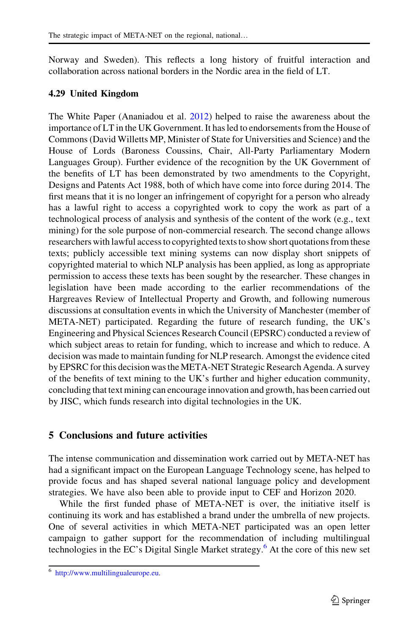<span id="page-18-0"></span>Norway and Sweden). This reflects a long history of fruitful interaction and collaboration across national borders in the Nordic area in the field of LT.

#### 4.29 United Kingdom

The White Paper (Ananiadou et al. [2012](#page-20-0)) helped to raise the awareness about the importance of LT in the UK Government. It has led to endorsements from the House of Commons (David Willetts MP, Minister of State for Universities and Science) and the House of Lords (Baroness Coussins, Chair, All-Party Parliamentary Modern Languages Group). Further evidence of the recognition by the UK Government of the benefits of LT has been demonstrated by two amendments to the Copyright, Designs and Patents Act 1988, both of which have come into force during 2014. The first means that it is no longer an infringement of copyright for a person who already has a lawful right to access a copyrighted work to copy the work as part of a technological process of analysis and synthesis of the content of the work (e.g., text mining) for the sole purpose of non-commercial research. The second change allows researchers with lawful access to copyrighted texts to show short quotations from these texts; publicly accessible text mining systems can now display short snippets of copyrighted material to which NLP analysis has been applied, as long as appropriate permission to access these texts has been sought by the researcher. These changes in legislation have been made according to the earlier recommendations of the Hargreaves Review of Intellectual Property and Growth, and following numerous discussions at consultation events in which the University of Manchester (member of META-NET) participated. Regarding the future of research funding, the UK's Engineering and Physical Sciences Research Council (EPSRC) conducted a review of which subject areas to retain for funding, which to increase and which to reduce. A decision was made to maintain funding for NLP research. Amongst the evidence cited by EPSRC for this decision was the META-NET Strategic Research Agenda. A survey of the benefits of text mining to the UK's further and higher education community, concluding that text mining can encourage innovation and growth, has been carried out by JISC, which funds research into digital technologies in the UK.

### 5 Conclusions and future activities

The intense communication and dissemination work carried out by META-NET has had a significant impact on the European Language Technology scene, has helped to provide focus and has shaped several national language policy and development strategies. We have also been able to provide input to CEF and Horizon 2020.

While the first funded phase of META-NET is over, the initiative itself is continuing its work and has established a brand under the umbrella of new projects. One of several activities in which META-NET participated was an open letter campaign to gather support for the recommendation of including multilingual technologies in the EC's Digital Single Market strategy.<sup>6</sup> At the core of this new set

<sup>6</sup> [http://www.multilingualeurope.eu.](http://www.multilingualeurope.eu)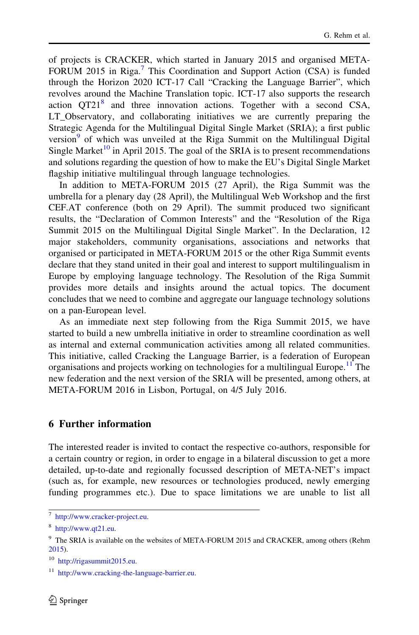of projects is CRACKER, which started in January 2015 and organised META-FORUM 2015 in Riga.<sup>7</sup> This Coordination and Support Action (CSA) is funded through the Horizon 2020 ICT-17 Call "Cracking the Language Barrier", which revolves around the Machine Translation topic. ICT-17 also supports the research action  $QT21<sup>8</sup>$  and three innovation actions. Together with a second CSA, LT Observatory, and collaborating initiatives we are currently preparing the Strategic Agenda for the Multilingual Digital Single Market (SRIA); a first public version $9$  of which was unveiled at the Riga Summit on the Multilingual Digital Single Market<sup>10</sup> in April 2015. The goal of the SRIA is to present recommendations and solutions regarding the question of how to make the EU's Digital Single Market flagship initiative multilingual through language technologies.

In addition to META-FORUM 2015 (27 April), the Riga Summit was the umbrella for a plenary day (28 April), the Multilingual Web Workshop and the first CEF.AT conference (both on 29 April). The summit produced two significant results, the "Declaration of Common Interests" and the "Resolution of the Riga Summit 2015 on the Multilingual Digital Single Market". In the Declaration, 12 major stakeholders, community organisations, associations and networks that organised or participated in META-FORUM 2015 or the other Riga Summit events declare that they stand united in their goal and interest to support multilingualism in Europe by employing language technology. The Resolution of the Riga Summit provides more details and insights around the actual topics. The document concludes that we need to combine and aggregate our language technology solutions on a pan-European level.

As an immediate next step following from the Riga Summit 2015, we have started to build a new umbrella initiative in order to streamline coordination as well as internal and external communication activities among all related communities. This initiative, called Cracking the Language Barrier, is a federation of European organisations and projects working on technologies for a multilingual Europe.<sup>11</sup> The new federation and the next version of the SRIA will be presented, among others, at META-FORUM 2016 in Lisbon, Portugal, on 4/5 July 2016.

#### 6 Further information

The interested reader is invited to contact the respective co-authors, responsible for a certain country or region, in order to engage in a bilateral discussion to get a more detailed, up-to-date and regionally focussed description of META-NET's impact (such as, for example, new resources or technologies produced, newly emerging funding programmes etc.). Due to space limitations we are unable to list all

<sup>7</sup> <http://www.cracker-project.eu>.

<sup>8</sup> [http://www.qt21.eu.](http://www.qt21.eu)

<sup>&</sup>lt;sup>9</sup> The SRIA is available on the websites of META-FORUM 2015 and CRACKER, among others (Rehm [2015\)](#page-22-0).

<sup>&</sup>lt;sup>10</sup> [http://rigasummit2015.eu.](http://rigasummit2015.eu)

<sup>&</sup>lt;sup>11</sup> <http://www.cracking-the-language-barrier.eu>.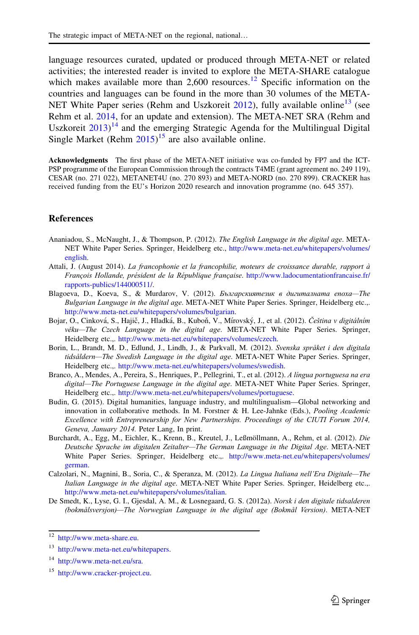<span id="page-20-0"></span>language resources curated, updated or produced through META-NET or related activities; the interested reader is invited to explore the META-SHARE catalogue which makes available more than 2,600 resources.<sup>12</sup> Specific information on the countries and languages can be found in the more than 30 volumes of the META-NET White Paper series (Rehm and Uszkoreit  $2012$ ), fully available online<sup>13</sup> (see Rehm et al. [2014](#page-22-0), for an update and extension). The META-NET SRA (Rehm and Uszkoreit  $2013$ <sup>14</sup> and the emerging Strategic Agenda for the Multilingual Digital Single Market (Rehm  $2015$ )<sup>15</sup> are also available online.

Acknowledgments The first phase of the META-NET initiative was co-funded by FP7 and the ICT-PSP programme of the European Commission through the contracts T4ME (grant agreement no. 249 119), CESAR (no. 271 022), METANET4U (no. 270 893) and META-NORD (no. 270 899). CRACKER has received funding from the EU's Horizon 2020 research and innovation programme (no. 645 357).

#### **References**

- Ananiadou, S., McNaught, J., & Thompson, P. (2012). The English Language in the digital age. META-NET White Paper Series. Springer, Heidelberg etc., [http://www.meta-net.eu/whitepapers/volumes/](http://www.meta-net.eu/whitepapers/volumes/english) [english](http://www.meta-net.eu/whitepapers/volumes/english).
- Attali, J. (August 2014). La francophonie et la francophilie, moteurs de croissance durable, rapport à François Hollande, président de la République française. [http://www.ladocumentationfrancaise.fr/](http://www.ladocumentationfrancaise.fr/rapports-publics/144000511/) [rapports-publics/144000511/.](http://www.ladocumentationfrancaise.fr/rapports-publics/144000511/)
- Blagoeva, D., Koeva, S., & Murdarov, V. (2012). Българскиятезик в дигиталната епоха—The Bulgarian Language in the digital age. META-NET White Paper Series. Springer, Heidelberg etc.,. <http://www.meta-net.eu/whitepapers/volumes/bulgarian>.
- Bojar, O., Cinková, S., Hajič, J., Hladká, B., Kuboň, V., Mírovský, J., et al. (2012). Čeština v digitálním věku—The Czech Language in the digital age. META-NET White Paper Series. Springer, Heidelberg etc.,. <http://www.meta-net.eu/whitepapers/volumes/czech>.
- Borin, L., Brandt, M. D., Edlund, J., Lindh, J., & Parkvall, M. (2012). Svenska språket i den digitala tidsåldern—The Swedish Language in the digital age. META-NET White Paper Series. Springer, Heidelberg etc.,. [http://www.meta-net.eu/whitepapers/volumes/swedish.](http://www.meta-net.eu/whitepapers/volumes/swedish)
- Branco, A., Mendes, A., Pereira, S., Henriques, P., Pellegrini, T., et al. (2012). A língua portuguesa na era digital—The Portuguese Language in the digital age. META-NET White Paper Series. Springer, Heidelberg etc.,. [http://www.meta-net.eu/whitepapers/volumes/portuguese.](http://www.meta-net.eu/whitepapers/volumes/portuguese)
- Budin, G. (2015). Digital humanities, language industry, and multilingualism—Global networking and innovation in collaborative methods. In M. Forstner & H. Lee-Jahnke (Eds.), *Pooling Academic* Excellence with Entrepreneurship for New Partnerships. Proceedings of the CIUTI Forum 2014, Geneva, January 2014. Peter Lang, In print.
- Burchardt, A., Egg, M., Eichler, K., Krenn, B., Kreutel, J., Leßmöllmann, A., Rehm, et al. (2012). Die Deutsche Sprache im digitalen Zeitalter—The German Language in the Digital Age. META-NET White Paper Series. Springer, Heidelberg etc.,. [http://www.meta-net.eu/whitepapers/volumes/](http://www.meta-net.eu/whitepapers/volumes/german) [german.](http://www.meta-net.eu/whitepapers/volumes/german)
- Calzolari, N., Magnini, B., Soria, C., & Speranza, M. (2012). La Lingua Italiana nell'Era Digitale—The Italian Language in the digital age. META-NET White Paper Series. Springer, Heidelberg etc.,. <http://www.meta-net.eu/whitepapers/volumes/italian>.
- De Smedt, K., Lyse, G. I., Gjesdal, A. M., & Losnegaard, G. S. (2012a). Norsk i den digitale tidsalderen (bokmålsversjon)—The Norwegian Language in the digital age (Bokmål Version). META-NET

<sup>12</sup> [http://www.meta-share.eu.](http://www.meta-share.eu)

<sup>13</sup> <http://www.meta-net.eu/whitepapers>.

<sup>14</sup> <http://www.meta-net.eu/sra>.

<sup>15</sup> <http://www.cracker-project.eu>.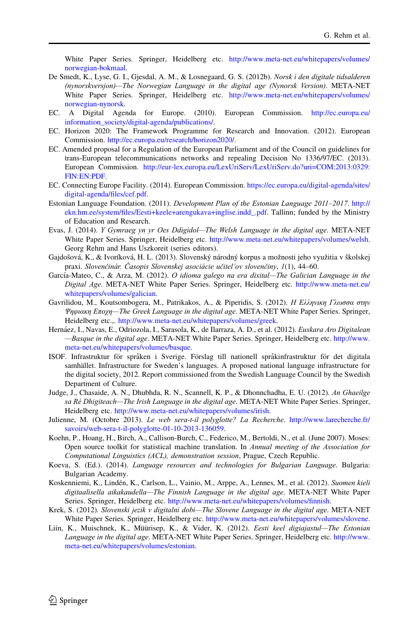<span id="page-21-0"></span>White Paper Series. Springer, Heidelberg etc. [http://www.meta-net.eu/whitepapers/volumes/](http://www.meta-net.eu/whitepapers/volumes/norwegian-bokmaal) [norwegian-bokmaal.](http://www.meta-net.eu/whitepapers/volumes/norwegian-bokmaal)

- De Smedt, K., Lyse, G. I., Gjesdal, A. M., & Losnegaard, G. S. (2012b). Norsk i den digitale tidsalderen (nynorskversjon)—The Norwegian Language in the digital age (Nynorsk Version). META-NET White Paper Series. Springer, Heidelberg etc. [http://www.meta-net.eu/whitepapers/volumes/](http://www.meta-net.eu/whitepapers/volumes/norwegian-nynorsk) [norwegian-nynorsk.](http://www.meta-net.eu/whitepapers/volumes/norwegian-nynorsk)
- EC. A Digital Agenda for Europe. (2010). European Commission. [http://ec.europa.eu/](http://ec.europa.eu/information_society/digital-agenda/publications/) [information\\_society/digital-agenda/publications/.](http://ec.europa.eu/information_society/digital-agenda/publications/)
- EC. Horizon 2020: The Framework Programme for Research and Innovation. (2012). European Commission. [http://ec.europa.eu/research/horizon2020/.](http://ec.europa.eu/research/horizon2020/)
- EC. Amended proposal for a Regulation of the European Parliament and of the Council on guidelines for trans-European telecommunications networks and repealing Decision No 1336/97/EC. (2013). European Commission. [http://eur-lex.europa.eu/LexUriServ/LexUriServ.do?uri=COM:2013:0329:](http://eur-lex.europa.eu/LexUriServ/LexUriServ.do?uri=COM:2013:0329:FIN:EN:PDF) [FIN:EN:PDF](http://eur-lex.europa.eu/LexUriServ/LexUriServ.do?uri=COM:2013:0329:FIN:EN:PDF).
- EC. Connecting Europe Facility. (2014). European Commission. [https://ec.europa.eu/digital-agenda/sites/](https://ec.europa.eu/digital-agenda/sites/digital-agenda/files/cef.pdf) [digital-agenda/files/cef.pdf.](https://ec.europa.eu/digital-agenda/sites/digital-agenda/files/cef.pdf)
- Estonian Language Foundation. (2011). Development Plan of the Estonian Language 2011–2017. [http://](http://ekn.hm.ee/system/files/Eesti+keele+arengukava+inglise.indd_.pdf) [ekn.hm.ee/system/files/Eesti+keele+arengukava+inglise.indd\\_.pdf.](http://ekn.hm.ee/system/files/Eesti+keele+arengukava+inglise.indd_.pdf) Tallinn; funded by the Ministry of Education and Research.
- Evas, J. (2014). Y Gymraeg yn yr Oes Ddigidol—The Welsh Language in the digital age. META-NET White Paper Series. Springer, Heidelberg etc. <http://www.meta-net.eu/whitepapers/volumes/welsh>. Georg Rehm and Hans Uszkoreit (series editors).
- Gajdošová, K., & Ivoríková, H. L. (2013). Slovenský národný korpus a možnosti jeho využitia v školskej praxi. Slovenčinár. Časopis Slovenskej asociácie učitel'ov slovenčiny, 1(1), 44–60.
- García-Mateo, C., & Arza, M. (2012). O idioma galego na era dixital—The Galician Language in the Digital Age. META-NET White Paper Series. Springer, Heidelberg etc. [http://www.meta-net.eu/](http://www.meta-net.eu/whitepapers/volumes/galician) [whitepapers/volumes/galician](http://www.meta-net.eu/whitepapers/volumes/galician).
- Gavrilidou, M., Koutsombogera, M., Patrikakos, A., & Piperidis, S. (2012). Η Ελληνικη Γλωσσα στην Ψηφιακη Εποχη—The Greek Language in the digital age. META-NET White Paper Series. Springer, Heidelberg etc.,. [http://www.meta-net.eu/whitepapers/volumes/greek.](http://www.meta-net.eu/whitepapers/volumes/greek)
- Hernáez, I., Navas, E., Odriozola, I., Sarasola, K., de Ilarraza, A. D., et al. (2012). Euskara Aro Digitalean —Basque in the digital age. META-NET White Paper Series. Springer, Heidelberg etc. [http://www.](http://www.meta-net.eu/whitepapers/volumes/basque) [meta-net.eu/whitepapers/volumes/basque.](http://www.meta-net.eu/whitepapers/volumes/basque)
- ISOF. Infrastruktur för språken i Sverige. Förslag till nationell språkinfrastruktur för det digitala samhället. Infrastructure for Sweden's languages. A proposed national language infrastructure for the digital society, 2012. Report commissioned from the Swedish Language Council by the Swedish Department of Culture.
- Judge, J., Chasaide, A. N., Dhubhda, R. N., Scannell, K. P., & Dhonnchadha, E. U. (2012). An Ghaeilge sa Ré Dhigiteach—The Irish Language in the digital age. META-NET White Paper Series. Springer, Heidelberg etc. <http://www.meta-net.eu/whitepapers/volumes/irish>.
- Julienne, M. (Octobre 2013). Le web sera-t-il polyglotte? La Recherche. [http://www.larecherche.fr/](http://www.larecherche.fr/savoirs/web-sera-t-il-polyglotte-01-10-2013-136059) [savoirs/web-sera-t-il-polyglotte-01-10-2013-136059.](http://www.larecherche.fr/savoirs/web-sera-t-il-polyglotte-01-10-2013-136059)
- Koehn, P., Hoang, H., Birch, A., Callison-Burch, C., Federico, M., Bertoldi, N., et al. (June 2007). Moses: Open source toolkit for statistical machine translation. In Annual meeting of the Association for Computational Linguistics (ACL), demonstration session, Prague, Czech Republic.
- Koeva, S. (Ed.). (2014). Language resources and technologies for Bulgarian Language. Bulgaria: Bulgarian Academy.
- Koskenniemi, K., Lindén, K., Carlson, L., Vainio, M., Arppe, A., Lennes, M., et al. (2012). Suomen kieli digitaalisella aikakaudella—The Finnish Language in the digital age. META-NET White Paper Series. Springer, Heidelberg etc. [http://www.meta-net.eu/whitepapers/volumes/finnish.](http://www.meta-net.eu/whitepapers/volumes/finnish)
- Krek, S. (2012). Slovenski jezik v digitalni dobi—The Slovene Language in the digital age. META-NET White Paper Series. Springer, Heidelberg etc. <http://www.meta-net.eu/whitepapers/volumes/slovene>.
- Liin, K., Muischnek, K., Müürisep, K., & Vider, K. (2012). Eesti keel digiajastul—The Estonian Language in the digital age. META-NET White Paper Series. Springer, Heidelberg etc. [http://www.](http://www.meta-net.eu/whitepapers/volumes/estonian) [meta-net.eu/whitepapers/volumes/estonian](http://www.meta-net.eu/whitepapers/volumes/estonian).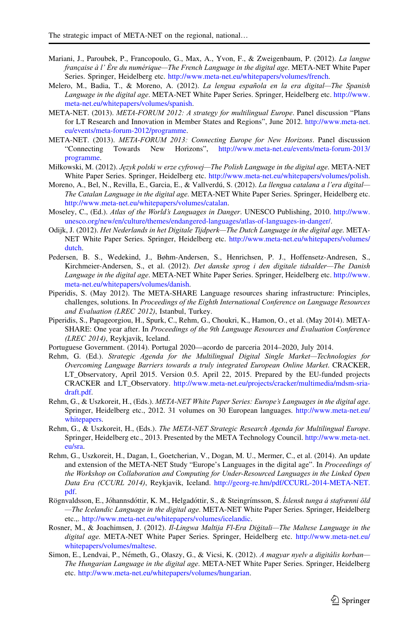- <span id="page-22-0"></span>Mariani, J., Paroubek, P., Francopoulo, G., Max, A., Yvon, F., & Zweigenbaum, P. (2012). La langue française à l' Ère du numérique—The French Language in the digital age. META-NET White Paper Series. Springer, Heidelberg etc. [http://www.meta-net.eu/whitepapers/volumes/french.](http://www.meta-net.eu/whitepapers/volumes/french)
- Melero, M., Badia, T., & Moreno, A. (2012). La lengua española en la era digital—The Spanish Language in the digital age. META-NET White Paper Series. Springer, Heidelberg etc. [http://www.](http://www.meta-net.eu/whitepapers/volumes/spanish) [meta-net.eu/whitepapers/volumes/spanish.](http://www.meta-net.eu/whitepapers/volumes/spanish)
- META-NET. (2013). META-FORUM 2012: A strategy for multilingual Europe. Panel discussion "Plans for LT Research and Innovation in Member States and Regions", June 2012. [http://www.meta-net.](http://www.meta-net.eu/events/meta-forum-2012/programme) [eu/events/meta-forum-2012/programme.](http://www.meta-net.eu/events/meta-forum-2012/programme)
- META-NET. (2013). META-FORUM 2013: Connecting Europe for New Horizons. Panel discussion "Connecting Towards New Horizons", [http://www.meta-net.eu/events/meta-forum-2013/](http://www.meta-net.eu/events/meta-forum-2013/programme) [programme.](http://www.meta-net.eu/events/meta-forum-2013/programme)
- Miłkowski, M. (2012). Jezyk polski w erze cyfrowej—The Polish Language in the digital age. META-NET White Paper Series. Springer, Heidelberg etc. <http://www.meta-net.eu/whitepapers/volumes/polish>.
- Moreno, A., Bel, N., Revilla, E., Garcia, E., & Vallverdú, S. (2012). La llengua catalana a l'era digital— The Catalan Language in the digital age. META-NET White Paper Series. Springer, Heidelberg etc. [http://www.meta-net.eu/whitepapers/volumes/catalan.](http://www.meta-net.eu/whitepapers/volumes/catalan)
- Moseley, C., (Ed.). Atlas of the World's Languages in Danger. UNESCO Publishing, 2010. [http://www.](http://www.unesco.org/new/en/culture/themes/endangered-languages/atlas-of-languages-in-danger/) [unesco.org/new/en/culture/themes/endangered-languages/atlas-of-languages-in-danger/.](http://www.unesco.org/new/en/culture/themes/endangered-languages/atlas-of-languages-in-danger/)
- Odijk, J. (2012). Het Nederlands in het Digitale Tijdperk—The Dutch Language in the digital age. META-NET White Paper Series. Springer, Heidelberg etc. [http://www.meta-net.eu/whitepapers/volumes/](http://www.meta-net.eu/whitepapers/volumes/dutch) [dutch.](http://www.meta-net.eu/whitepapers/volumes/dutch)
- Pedersen, B. S., Wedekind, J., Bøhm-Andersen, S., Henrichsen, P. J., Hoffensetz-Andresen, S., Kirchmeier-Andersen, S., et al. (2012). Det danske sprog i den digitale tidsalder-The Danish Language in the digital age. META-NET White Paper Series. Springer, Heidelberg etc. [http://www.](http://www.meta-net.eu/whitepapers/volumes/danish) [meta-net.eu/whitepapers/volumes/danish](http://www.meta-net.eu/whitepapers/volumes/danish).
- Piperidis, S. (May 2012). The META-SHARE Language resources sharing infrastructure: Principles, challenges, solutions. In Proceedings of the Eighth International Conference on Language Resources and Evaluation (LREC 2012), Istanbul, Turkey.
- Piperidis, S., Papageorgiou, H., Spurk, C., Rehm, G., Choukri, K., Hamon, O., et al. (May 2014). META-SHARE: One year after. In Proceedings of the 9th Language Resources and Evaluation Conference (LREC 2014), Reykjavik, Iceland.
- Portuguese Government. (2014). Portugal 2020—acordo de parceria 2014–2020, July 2014.
- Rehm, G. (Ed.). Strategic Agenda for the Multilingual Digital Single Market—Technologies for Overcoming Language Barriers towards a truly integrated European Online Market. CRACKER, LT Observatory, April 2015. Version 0.5. April 22, 2015. Prepared by the EU-funded projects CRACKER and LT\_Observatory. [http://www.meta-net.eu/projects/cracker/multimedia/mdsm-sria](http://www.meta-net.eu/projects/cracker/multimedia/mdsm-sria-draft.pdf)[draft.pdf.](http://www.meta-net.eu/projects/cracker/multimedia/mdsm-sria-draft.pdf)
- Rehm, G., & Uszkoreit, H., (Eds.). META-NET White Paper Series: Europe's Languages in the digital age. Springer, Heidelberg etc., 2012. 31 volumes on 30 European languages. [http://www.meta-net.eu/](http://www.meta-net.eu/whitepapers) [whitepapers.](http://www.meta-net.eu/whitepapers)
- Rehm, G., & Uszkoreit, H., (Eds.). The META-NET Strategic Research Agenda for Multilingual Europe. Springer, Heidelberg etc., 2013. Presented by the META Technology Council. [http://www.meta-net.](http://www.meta-net.eu/sra) [eu/sra](http://www.meta-net.eu/sra).
- Rehm, G., Uszkoreit, H., Dagan, I., Goetcherian, V., Dogan, M. U., Mermer, C., et al. (2014). An update and extension of the META-NET Study "Europe's Languages in the digital age". In Proceedings of the Workshop on Collaboration and Computing for Under-Resourced Languages in the Linked Open Data Era (CCURL 2014), Reykjavik, Iceland. [http://georg-re.hm/pdf/CCURL-2014-META-NET.](http://georg-re.hm/pdf/CCURL-2014-META-NET.pdf) [pdf.](http://georg-re.hm/pdf/CCURL-2014-META-NET.pdf)
- Rögnvaldsson, E., Jóhannsdóttir, K. M., Helgadóttir, S., & Steingrímsson, S. Íslensk tunga á stafrænni öld —The Icelandic Language in the digital age. META-NET White Paper Series. Springer, Heidelberg etc.,. [http://www.meta-net.eu/whitepapers/volumes/icelandic.](http://www.meta-net.eu/whitepapers/volumes/icelandic)
- Rosner, M., & Joachimsen, J. (2012). Il-Lingwa Maltija Fl-Era Diğitali—The Maltese Language in the digital age. META-NET White Paper Series. Springer, Heidelberg etc. [http://www.meta-net.eu/](http://www.meta-net.eu/whitepapers/volumes/maltese) [whitepapers/volumes/maltese](http://www.meta-net.eu/whitepapers/volumes/maltese).
- Simon, E., Lendvai, P., Németh, G., Olaszy, G., & Vicsi, K. (2012). A magyar nyelv a digitális korban— The Hungarian Language in the digital age. META-NET White Paper Series. Springer, Heidelberg etc. [http://www.meta-net.eu/whitepapers/volumes/hungarian.](http://www.meta-net.eu/whitepapers/volumes/hungarian)